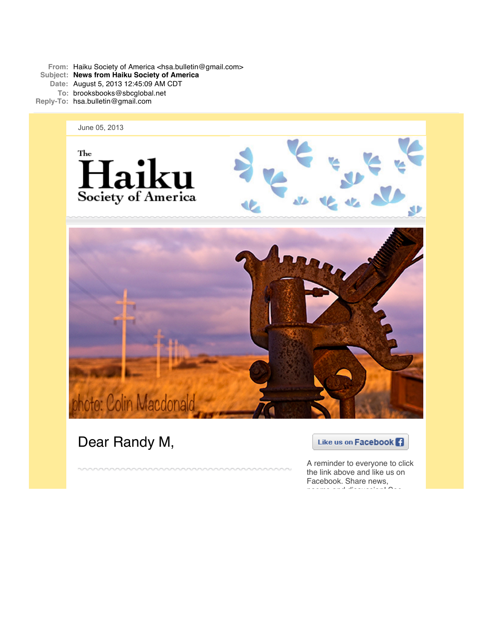From: Haiku Society of America <hsa.bulletin@gmail.com> **Subject: News from Haiku Society of America Date:** August 5, 2013 12:45:09 AM CDT **To:** brooksbooks@sbcglobal.net **Reply-To:** hsa.bulletin@gmail.com



Dear Randy M,

Like us on Facebook **Fi** 

A reminder to everyone to click the link above and like us on Facebook. Share news, poems and discussion! See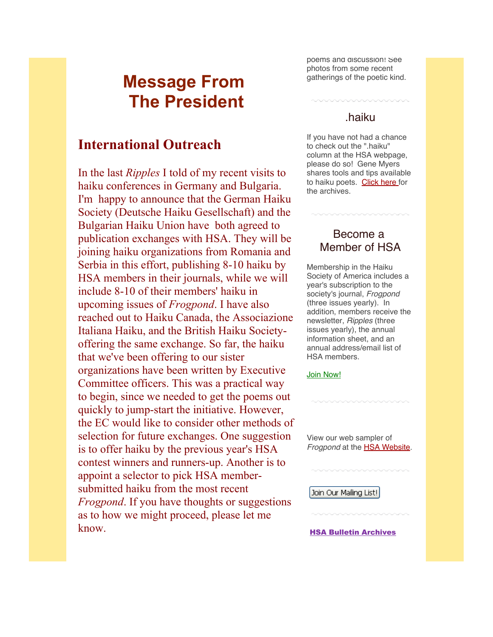# **Message From The President**

## **International Outreach**

In the last *Ripples* I told of my recent visits to haiku conferences in Germany and Bulgaria. I'm happy to announce that the German Haiku Society (Deutsche Haiku Gesellschaft) and the Bulgarian Haiku Union have both agreed to publication exchanges with HSA. They will be joining haiku organizations from Romania and Serbia in this effort, publishing 8-10 haiku by HSA members in their journals, while we will include 8-10 of their members' haiku in upcoming issues of *Frogpond*. I have also reached out to Haiku Canada, the Associazione Italiana Haiku, and the British Haiku Societyoffering the same exchange. So far, the haiku that we've been offering to our sister organizations have been written by Executive Committee officers. This was a practical way to begin, since we needed to get the poems out quickly to jump-start the initiative. However, the EC would like to consider other methods of selection for future exchanges. One suggestion is to offer haiku by the previous year's HSA contest winners and runners-up. Another is to appoint a selector to pick HSA membersubmitted haiku from the most recent *Frogpond*. If you have thoughts or suggestions as to how we might proceed, please let me know.

poems and discussion! See photos from some recent gatherings of the poetic kind.

### .haiku

If you have not had a chance to check out the ".haiku" column at the HSA webpage, please do so! Gene Myers shares tools and tips available to haiku poets. [Click here f](http://r20.rs6.net/tn.jsp?e=001LIXLG3lWyIuBZlODUctOYTnbm2nKbaWCrZlCvVNirKzE1edZSxZQF9CEJlv6kL1B_h8p0OiBIPD2qwlOVBKt9XzkEBJJbHdpGIP15ztpSJ9avqFwBo5OlR3HzOwrwDH6HGMg9_Hw777wBO9fsiepx6Py7Fj1aFiFufJkzXOQKLtKFImLL0k9cA==)or the archives.

### Become a Member of HSA

Membership in the Haiku Society of America includes a year's subscription to the society's journal, *Frogpond* (three issues yearly). In addition, members receive the newsletter, *Ripples* (three issues yearly), the annual information sheet, and an annual address/email list of HSA members.

#### [Join Now!](http://r20.rs6.net/tn.jsp?e=001LIXLG3lWyIucDHdmxv-NV7A5MMLra88A5K14h8nNcR7fZ0MxKc5oma3rdgIkiTKNBlva6nR0YvjUKe4DjdZ-p-OYBCxq7RLOdfmTmIzFX8TXy0d_STKHv4zJUFaDM6Kn)

View our web sampler of **Frogpond** at the **HSA Website**.

Join Our Mailing List!

[HSA Bulletin Archives](http://r20.rs6.net/tn.jsp?e=001LIXLG3lWyIvN0JqttoyPZfFaBRDmIpPfp7cU8GUR5aIJN9D_nZcDPhZgIIX4fZVvoKgGZd1t7ocuuEMya9MDC66Unf6osoKczTi2TxjongZhD3TB__CwX1Q4RwaZZShvXC3NeucKRxGM74z0Xa1HuJ_AIdZR9fcgcndR1hxrnutnpewN51cQxT0oXNSL3aFW1kA3nxyfpGc=)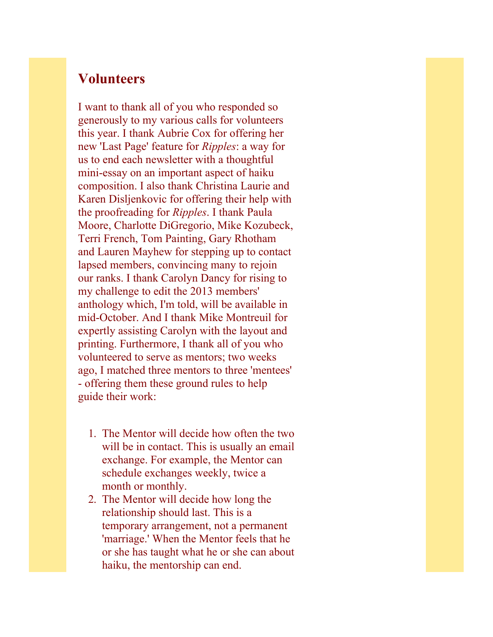## **Volunteers**

I want to thank all of you who responded so generously to my various calls for volunteers this year. I thank Aubrie Cox for offering her new 'Last Page' feature for *Ripples*: a way for us to end each newsletter with a thoughtful mini-essay on an important aspect of haiku composition. I also thank Christina Laurie and Karen Disljenkovic for offering their help with the proofreading for *Ripples*. I thank Paula Moore, Charlotte DiGregorio, Mike Kozubeck, Terri French, Tom Painting, Gary Rhotham and Lauren Mayhew for stepping up to contact lapsed members, convincing many to rejoin our ranks. I thank Carolyn Dancy for rising to my challenge to edit the 2013 members' anthology which, I'm told, will be available in mid-October. And I thank Mike Montreuil for expertly assisting Carolyn with the layout and printing. Furthermore, I thank all of you who volunteered to serve as mentors; two weeks ago, I matched three mentors to three 'mentees' - offering them these ground rules to help guide their work:

- 1. The Mentor will decide how often the two will be in contact. This is usually an email exchange. For example, the Mentor can schedule exchanges weekly, twice a month or monthly.
- 2. The Mentor will decide how long the relationship should last. This is a temporary arrangement, not a permanent 'marriage.' When the Mentor feels that he or she has taught what he or she can about haiku, the mentorship can end.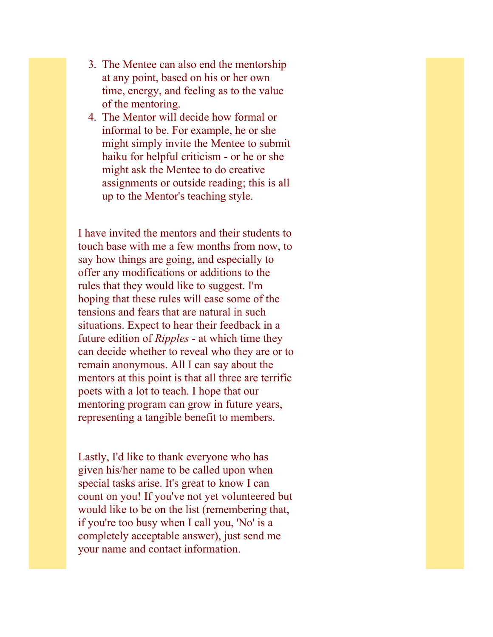- 3. The Mentee can also end the mentorship at any point, based on his or her own time, energy, and feeling as to the value of the mentoring.
- 4. The Mentor will decide how formal or informal to be. For example, he or she might simply invite the Mentee to submit haiku for helpful criticism - or he or she might ask the Mentee to do creative assignments or outside reading; this is all up to the Mentor's teaching style.

I have invited the mentors and their students to touch base with me a few months from now, to say how things are going, and especially to offer any modifications or additions to the rules that they would like to suggest. I'm hoping that these rules will ease some of the tensions and fears that are natural in such situations. Expect to hear their feedback in a future edition of *Ripples* - at which time they can decide whether to reveal who they are or to remain anonymous. All I can say about the mentors at this point is that all three are terrific poets with a lot to teach. I hope that our mentoring program can grow in future years, representing a tangible benefit to members.

Lastly, I'd like to thank everyone who has given his/her name to be called upon when special tasks arise. It's great to know I can count on you! If you've not yet volunteered but would like to be on the list (remembering that, if you're too busy when I call you, 'No' is a completely acceptable answer), just send me your name and contact information.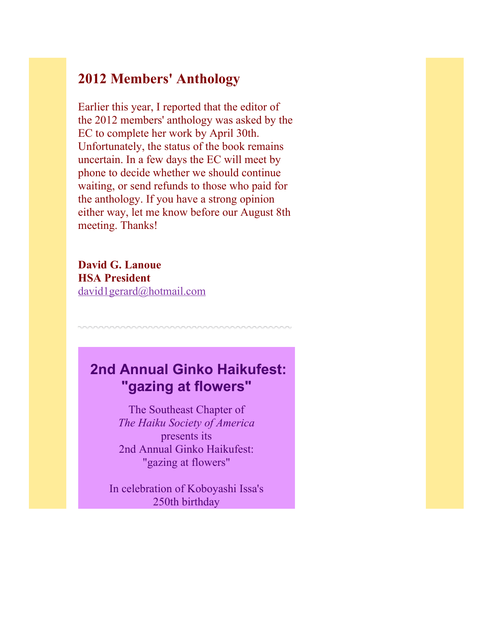## **2012 Members' Anthology**

Earlier this year, I reported that the editor of the 2012 members' anthology was asked by the EC to complete her work by April 30th. Unfortunately, the status of the book remains uncertain. In a few days the EC will meet by phone to decide whether we should continue waiting, or send refunds to those who paid for the anthology. If you have a strong opinion either way, let me know before our August 8th meeting. Thanks!

**David G. Lanoue HSA President** [david1gerard@hotmail.com](mailto:david1gerard@hotmail.com)

# **2nd Annual Ginko Haikufest: "gazing at flowers"**

The Southeast Chapter of *The Haiku Society of America* presents its 2nd Annual Ginko Haikufest: "gazing at flowers"

In celebration of Koboyashi Issa's 250th birthday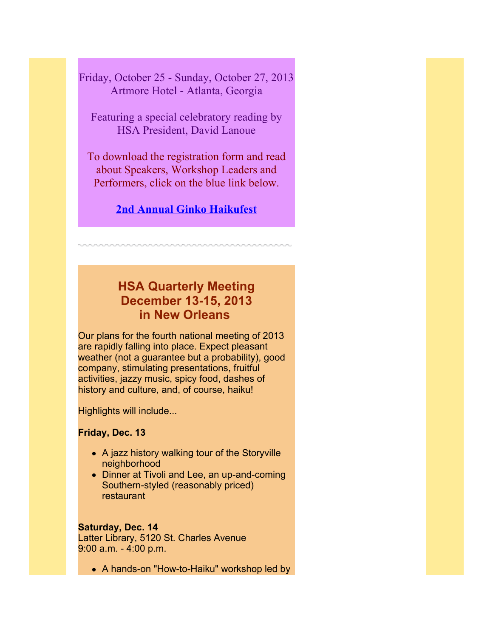Friday, October 25 - Sunday, October 27, 2013 Artmore Hotel - Atlanta, Georgia

Featuring a special celebratory reading by HSA President, David Lanoue

To download the registration form and read about Speakers, Workshop Leaders and Performers, click on the blue link below.

**[2nd Annual Ginko Haikufest](http://r20.rs6.net/tn.jsp?e=001LIXLG3lWyIsafj3HO4KQ68aUBuGPp-TozhcMMq651XUdC-Pf34sMDTG64_-grcHRvjMedLH3yh_VBr_hLmLcvP0PuYEhPNlEJWsXs1RsaoW9GvP4qRUDAqmuXrhWsDjATUtxXTV_hiIg71OM1mAsrFHISWo2HrimiST06w8fi8YynzUwn6x1lrgjhiNUET72464TbCJt6Jw=)**

## **HSA Quarterly Meeting December 13-15, 2013 in New Orleans**

Our plans for the fourth national meeting of 2013 are rapidly falling into place. Expect pleasant weather (not a guarantee but a probability), good company, stimulating presentations, fruitful activities, jazzy music, spicy food, dashes of history and culture, and, of course, haiku!

Highlights will include...

### **Friday, Dec. 13**

- A jazz history walking tour of the Storyville neighborhood
- Dinner at Tivoli and Lee, an up-and-coming Southern-styled (reasonably priced) restaurant

### **Saturday, Dec. 14**

Latter Library, 5120 St. Charles Avenue 9:00 a.m. - 4:00 p.m.

• A hands-on "How-to-Haiku" workshop led by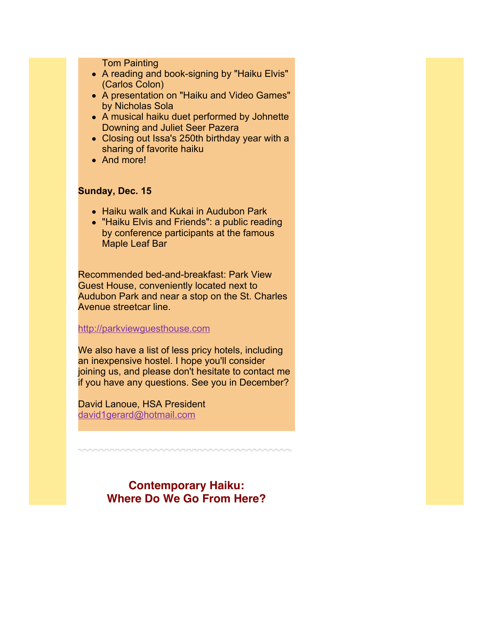Tom Painting

- A reading and book-signing by "Haiku Elvis" (Carlos Colon)
- A presentation on "Haiku and Video Games" by Nicholas Sola
- A musical haiku duet performed by Johnette Downing and Juliet Seer Pazera
- Closing out Issa's 250th birthday year with a sharing of favorite haiku
- And more!

### **Sunday, Dec. 15**

- Haiku walk and Kukai in Audubon Park
- "Haiku Elvis and Friends": a public reading by conference participants at the famous Maple Leaf Bar

Recommended bed-and-breakfast: Park View Guest House, conveniently located next to Audubon Park and near a stop on the St. Charles Avenue streetcar line.

#### [http://parkviewguesthouse.com](http://r20.rs6.net/tn.jsp?e=001LIXLG3lWyIuU95E4RNyZ6b82ZTGh3xxG0ToL_wluJSjbUhoo3fPkGlR4tWZcm2G_sfd9fiy_u81ACt2gIj7gphxv5goX4KkLrMZit_mW5RmFaLMdox7zLQ==)

We also have a list of less pricy hotels, including an inexpensive hostel. I hope you'll consider joining us, and please don't hesitate to contact me if you have any questions. See you in December?

David Lanoue, HSA President [david1gerard@hotmail.com](mailto:david1gerard@hotmail.com)

> **Contemporary Haiku: Where Do We Go From Here?**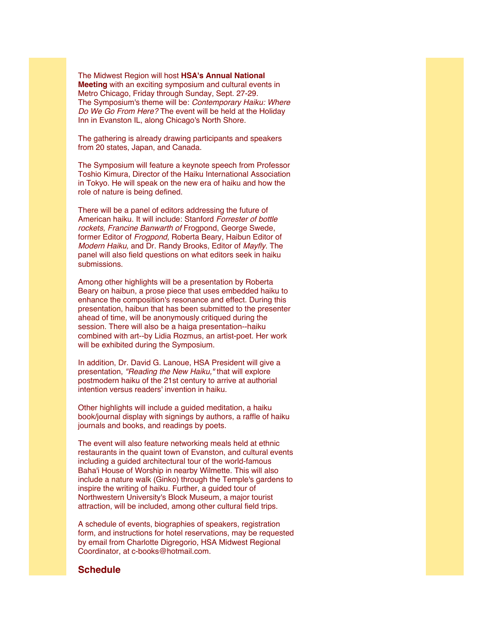The Midwest Region will host **HSA's Annual National Meeting** with an exciting symposium and cultural events in Metro Chicago, Friday through Sunday, Sept. 27-29. The Symposium's theme will be: *Contemporary Haiku: Where Do We Go From Here?* The event will be held at the Holiday Inn in Evanston IL, along Chicago's North Shore.

The gathering is already drawing participants and speakers from 20 states, Japan, and Canada.

The Symposium will feature a keynote speech from Professor Toshio Kimura, Director of the Haiku International Association in Tokyo. He will speak on the new era of haiku and how the role of nature is being defined.

There will be a panel of editors addressing the future of American haiku. It will include: Stanford *Forrester of bottle rockets, Francine Banwarth of* Frogpond, George Swede, former Editor of *Frogpond,* Roberta Beary, Haibun Editor of *Modern Haiku,* and Dr. Randy Brooks, Editor of *Mayfly.* The panel will also field questions on what editors seek in haiku submissions.

Among other highlights will be a presentation by Roberta Beary on haibun, a prose piece that uses embedded haiku to enhance the composition's resonance and effect. During this presentation, haibun that has been submitted to the presenter ahead of time, will be anonymously critiqued during the session. There will also be a haiga presentation--haiku combined with art--by Lidia Rozmus, an artist-poet. Her work will be exhibited during the Symposium.

In addition, Dr. David G. Lanoue, HSA President will give a presentation, *"Reading the New Haiku,"* that will explore postmodern haiku of the 21st century to arrive at authorial intention versus readers' invention in haiku.

Other highlights will include a guided meditation, a haiku book/journal display with signings by authors, a raffle of haiku journals and books, and readings by poets.

The event will also feature networking meals held at ethnic restaurants in the quaint town of Evanston, and cultural events including a guided architectural tour of the world-famous Baha'i House of Worship in nearby Wilmette. This will also include a nature walk (Ginko) through the Temple's gardens to inspire the writing of haiku. Further, a guided tour of Northwestern University's Block Museum, a major tourist attraction, will be included, among other cultural field trips.

A schedule of events, biographies of speakers, registration form, and instructions for hotel reservations, may be requested by email from Charlotte Digregorio, HSA Midwest Regional Coordinator, at c-books@hotmail.com.

#### **Schedule**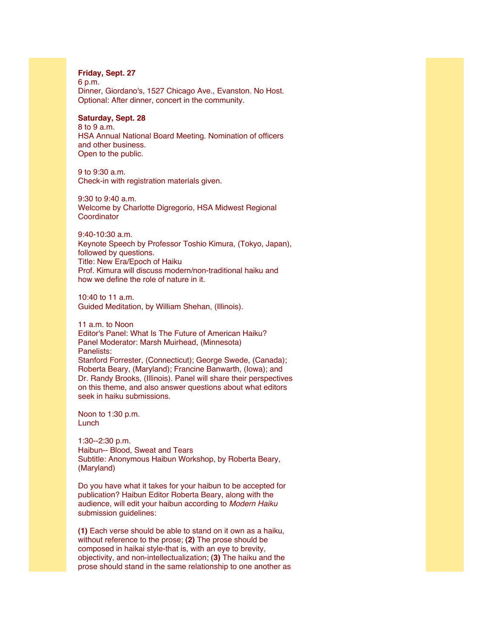#### **Friday, Sept. 27**

6 p.m. Dinner, Giordano's, 1527 Chicago Ave., Evanston. No Host. Optional: After dinner, concert in the community.

#### **Saturday, Sept. 28**

8 to 9 a.m. HSA Annual National Board Meeting. Nomination of officers and other business. Open to the public.

9 to 9:30 a.m. Check-in with registration materials given.

9:30 to 9:40 a.m. Welcome by Charlotte Digregorio, HSA Midwest Regional **Coordinator** 

9:40-10:30 a.m. Keynote Speech by Professor Toshio Kimura, (Tokyo, Japan), followed by questions. Title: New Era/Epoch of Haiku Prof. Kimura will discuss modern/non-traditional haiku and how we define the role of nature in it.

10:40 to 11 a.m. Guided Meditation, by William Shehan, (Illinois).

11 a.m. to Noon Editor's Panel: What Is The Future of American Haiku? Panel Moderator: Marsh Muirhead, (Minnesota) Panelists: Stanford Forrester, (Connecticut); George Swede, (Canada); Roberta Beary, (Maryland); Francine Banwarth, (Iowa); and Dr. Randy Brooks, (Illinois). Panel will share their perspectives on this theme, and also answer questions about what editors seek in haiku submissions.

Noon to 1:30 p.m. Lunch

1:30--2:30 p.m. Haibun-- Blood, Sweat and Tears Subtitle: Anonymous Haibun Workshop, by Roberta Beary, (Maryland)

Do you have what it takes for your haibun to be accepted for publication? Haibun Editor Roberta Beary, along with the audience, will edit your haibun according to *Modern Haiku* submission guidelines:

**(1)** Each verse should be able to stand on it own as a haiku, without reference to the prose; **(2)** The prose should be composed in haikai style-that is, with an eye to brevity, objectivity, and non-intellectualization; **(3)** The haiku and the prose should stand in the same relationship to one another as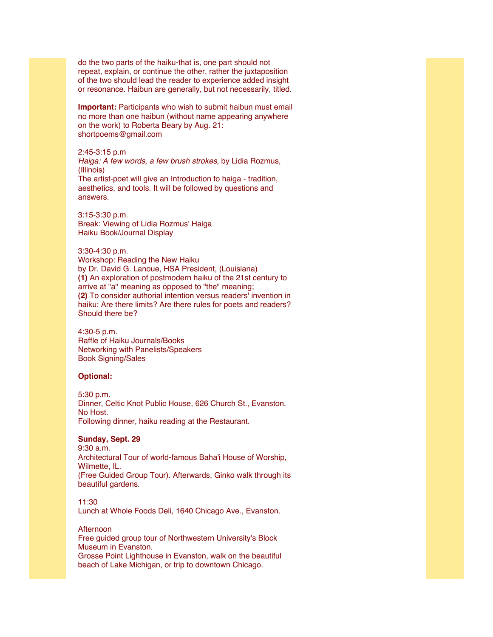do the two parts of the haiku-that is, one part should not repeat, explain, or continue the other, rather the juxtaposition of the two should lead the reader to experience added insight or resonance. Haibun are generally, but not necessarily, titled.

**Important:** Participants who wish to submit haibun must email no more than one haibun (without name appearing anywhere on the work) to Roberta Beary by Aug. 21: shortpoems@gmail.com

#### 2:45-3:15 p.m

*Haiga: A few words, a few brush strokes,* by Lidia Rozmus, (Illinois) The artist-poet will give an Introduction to haiga - tradition,

aesthetics, and tools. It will be followed by questions and answers.

3:15-3:30 p.m. Break: Viewing of Lidia Rozmus' Haiga Haiku Book/Journal Display

#### 3:30-4:30 p.m. Workshop: Reading the New Haiku by Dr. David G. Lanoue, HSA President, (Louisiana) **(1)** An exploration of postmodern haiku of the 21st century to arrive at "a" meaning as opposed to "the" meaning; **(2)** To consider authorial intention versus readers' invention in haiku: Are there limits? Are there rules for poets and readers? Should there be?

4:30-5 p.m. Raffle of Haiku Journals/Books Networking with Panelists/Speakers Book Signing/Sales

#### **Optional:**

5:30 p.m. Dinner, Celtic Knot Public House, 626 Church St., Evanston. No Host. Following dinner, haiku reading at the Restaurant.

#### **Sunday, Sept. 29**

9:30 a.m. Architectural Tour of world-famous Baha'i House of Worship, Wilmette, IL. (Free Guided Group Tour). Afterwards, Ginko walk through its beautiful gardens.

11:30

Lunch at Whole Foods Deli, 1640 Chicago Ave., Evanston.

#### Afternoon

Free guided group tour of Northwestern University's Block Museum in Evanston. Grosse Point Lighthouse in Evanston, walk on the beautiful

beach of Lake Michigan, or trip to downtown Chicago.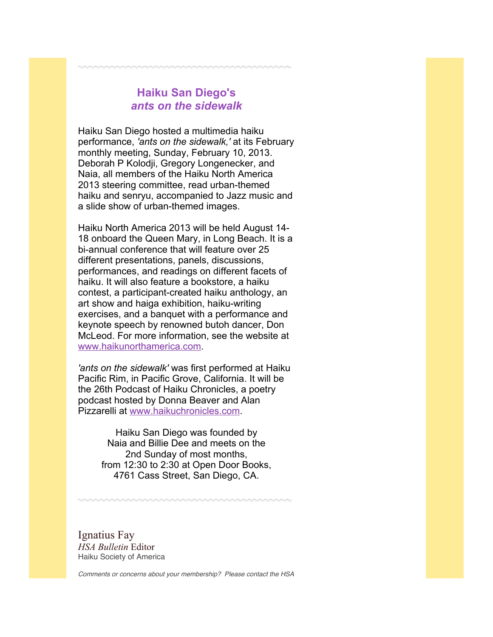## **Haiku San Diego's** *ants on the sidewalk*

Haiku San Diego hosted a multimedia haiku performance, *'ants on the sidewalk,'* at its February monthly meeting, Sunday, February 10, 2013. Deborah P Kolodji, Gregory Longenecker, and Naia, all members of the Haiku North America 2013 steering committee, read urban-themed haiku and senryu, accompanied to Jazz music and a slide show of urban-themed images.

Haiku North America 2013 will be held August 14- 18 onboard the Queen Mary, in Long Beach. It is a bi-annual conference that will feature over 25 different presentations, panels, discussions, performances, and readings on different facets of haiku. It will also feature a bookstore, a haiku contest, a participant-created haiku anthology, an art show and haiga exhibition, haiku-writing exercises, and a banquet with a performance and keynote speech by renowned butoh dancer, Don McLeod. For more information, see the website at [www.haikunorthamerica.com.](http://r20.rs6.net/tn.jsp?e=001LIXLG3lWyIvrxhNA8D4ivArZM_8JqW_bLPeriYWCvs9iSFYqzd30Mi0chiMUy2XqZXyQHUrkh1AA7KOs7nvin3-_VdQllAumQ9Msmy5kQwBbC-Sy-7yrRbGbGZU27WWo)

*'ants on the sidewalk'* was first performed at Haiku Pacific Rim, in Pacific Grove, California. It will be the 26th Podcast of Haiku Chronicles, a poetry podcast hosted by Donna Beaver and Alan Pizzarelli at [www.haikuchronicles.com.](http://r20.rs6.net/tn.jsp?e=001LIXLG3lWyIuffaiAzcdZjSaPnqhZ5C9S7tKgxpergAycBuE6mUL2951QDrWJfnV8d5XZ3pZvp0NAYS-oghmYGoDzOYgVSR-dNIlMaE0F1tyRL9T-SlVNpe_jiiexTAfF)

> Haiku San Diego was founded by Naia and Billie Dee and meets on the 2nd Sunday of most months, from 12:30 to 2:30 at Open Door Books, 4761 Cass Street, San Diego, CA.

Ignatius Fay *HSA Bulletin* Editor Haiku Society of America

*Comments or concerns about your membership? Please contact the HSA*